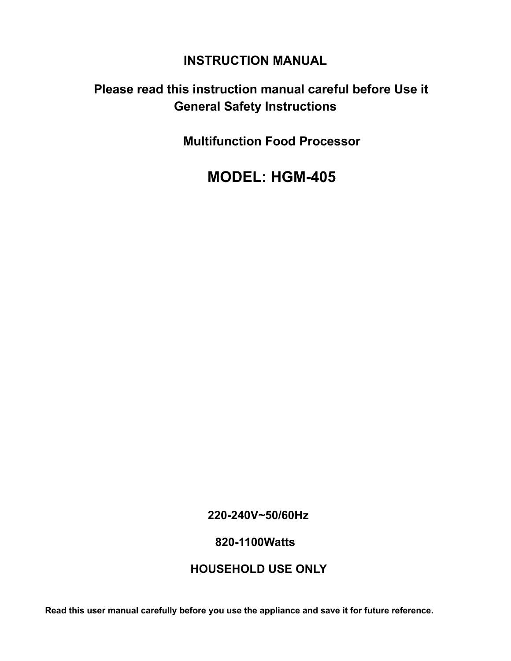## **INSTRUCTION MANUAL**

# **Please read this instruction manual careful before Use it General Safety Instructions**

**Multifunction Food Processor**

 **MODEL: HGM-405**

**220-240V~50/60Hz** 

**820-1100Watts**

## **HOUSEHOLD USE ONLY**

**Read this user manual carefully before you use the appliance and save it for future reference.**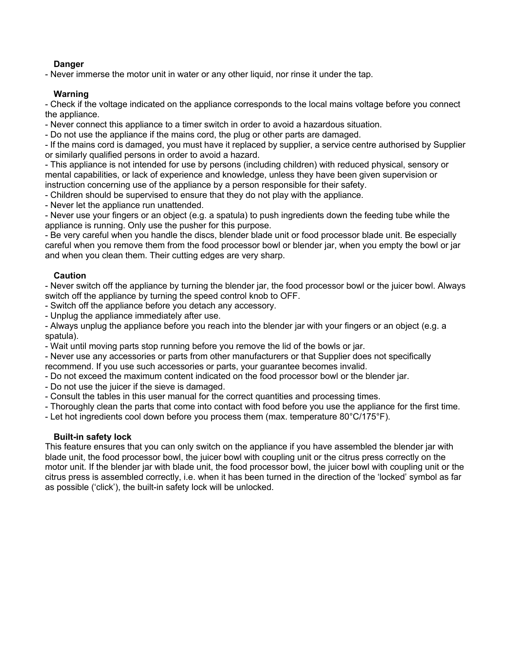#### **Danger**

- Never immerse the motor unit in water or any other liquid, nor rinse it under the tap.

#### **Warning**

- Check if the voltage indicated on the appliance corresponds to the local mains voltage before you connect the appliance.

- Never connect this appliance to a timer switch in order to avoid a hazardous situation.

- Do not use the appliance if the mains cord, the plug or other parts are damaged.

- If the mains cord is damaged, you must have it replaced by supplier, a service centre authorised by Supplier or similarly qualified persons in order to avoid a hazard.

- This appliance is not intended for use by persons (including children) with reduced physical, sensory or mental capabilities, or lack of experience and knowledge, unless they have been given supervision or instruction concerning use of the appliance by a person responsible for their safety.

- Children should be supervised to ensure that they do not play with the appliance.

- Never let the appliance run unattended.

- Never use your fingers or an object (e.g. a spatula) to push ingredients down the feeding tube while the appliance is running. Only use the pusher for this purpose.

- Be very careful when you handle the discs, blender blade unit or food processor blade unit. Be especially careful when you remove them from the food processor bowl or blender jar, when you empty the bowl or jar and when you clean them. Their cutting edges are very sharp.

#### **Caution**

- Never switch off the appliance by turning the blender jar, the food processor bowl or the juicer bowl. Always switch off the appliance by turning the speed control knob to OFF.

- Switch off the appliance before you detach any accessory.

- Unplug the appliance immediately after use.

- Always unplug the appliance before you reach into the blender jar with your fingers or an object (e.g. a spatula).

- Wait until moving parts stop running before you remove the lid of the bowls or jar.

- Never use any accessories or parts from other manufacturers or that Supplier does not specifically recommend. If you use such accessories or parts, your guarantee becomes invalid.

- Do not exceed the maximum content indicated on the food processor bowl or the blender jar.

- Do not use the juicer if the sieve is damaged.

- Consult the tables in this user manual for the correct quantities and processing times.

- Thoroughly clean the parts that come into contact with food before you use the appliance for the first time.

- Let hot ingredients cool down before you process them (max. temperature 80°C/175°F).

#### **Built-in safety lock**

This feature ensures that you can only switch on the appliance if you have assembled the blender jar with blade unit, the food processor bowl, the juicer bowl with coupling unit or the citrus press correctly on the motor unit. If the blender jar with blade unit, the food processor bowl, the juicer bowl with coupling unit or the citrus press is assembled correctly, i.e. when it has been turned in the direction of the 'locked' symbol as far as possible ('click'), the built-in safety lock will be unlocked.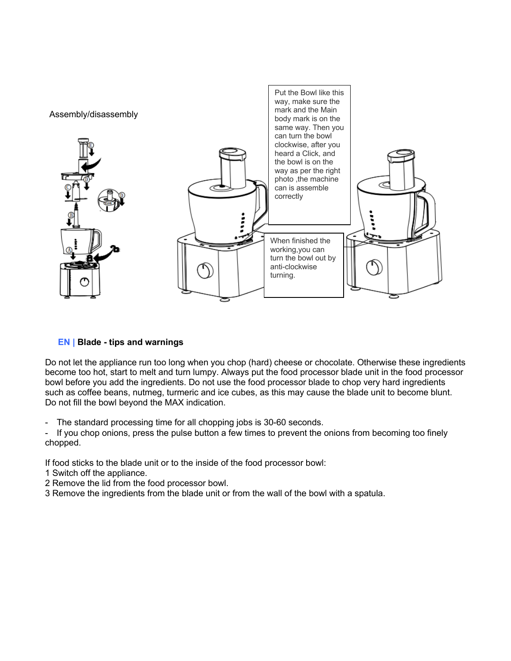

### **EN | Blade - tips and warnings**

Do not let the appliance run too long when you chop (hard) cheese or chocolate. Otherwise these ingredients become too hot, start to melt and turn lumpy. Always put the food processor blade unit in the food processor bowl before you add the ingredients. Do not use the food processor blade to chop very hard ingredients such as coffee beans, nutmeg, turmeric and ice cubes, as this may cause the blade unit to become blunt. Do not fill the bowl beyond the MAX indication.

The standard processing time for all chopping jobs is 30-60 seconds.

- If you chop onions, press the pulse button a few times to prevent the onions from becoming too finely chopped.

If food sticks to the blade unit or to the inside of the food processor bowl:

- 1 Switch off the appliance.
- 2 Remove the lid from the food processor bowl.
- 3 Remove the ingredients from the blade unit or from the wall of the bowl with a spatula.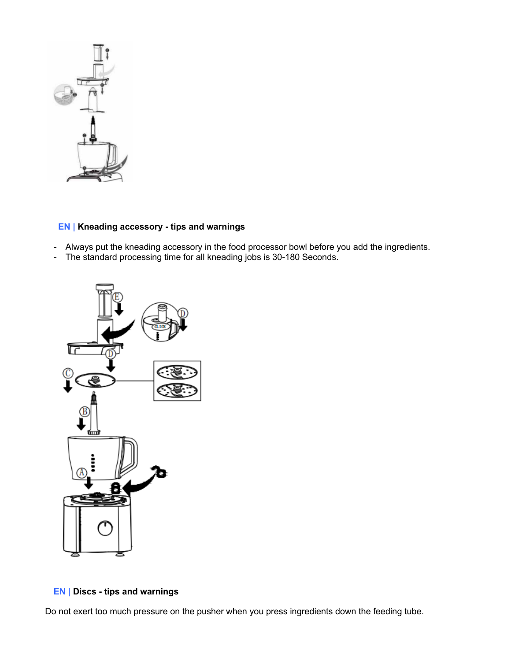

## **EN | Kneading accessory - tips and warnings**

- Always put the kneading accessory in the food processor bowl before you add the ingredients.
- The standard processing time for all kneading jobs is 30-180 Seconds.



**EN | Discs - tips and warnings**

Do not exert too much pressure on the pusher when you press ingredients down the feeding tube.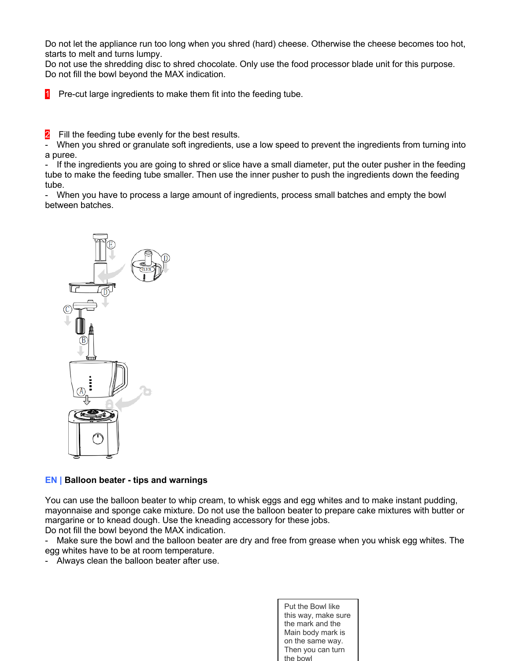Do not let the appliance run too long when you shred (hard) cheese. Otherwise the cheese becomes too hot, starts to melt and turns lumpy.

Do not use the shredding disc to shred chocolate. Only use the food processor blade unit for this purpose. Do not fill the bowl beyond the MAX indication.

**1** Pre-cut large ingredients to make them fit into the feeding tube.

Fill the feeding tube evenly for the best results.

When you shred or granulate soft ingredients, use a low speed to prevent the ingredients from turning into a puree.

If the ingredients you are going to shred or slice have a small diameter, put the outer pusher in the feeding tube to make the feeding tube smaller. Then use the inner pusher to push the ingredients down the feeding tube.

- When you have to process a large amount of ingredients, process small batches and empty the bowl between batches.



#### **EN | Balloon beater - tips and warnings**

You can use the balloon beater to whip cream, to whisk eggs and egg whites and to make instant pudding, mayonnaise and sponge cake mixture. Do not use the balloon beater to prepare cake mixtures with butter or margarine or to knead dough. Use the kneading accessory for these jobs. Do not fill the bowl beyond the MAX indication.

- Make sure the bowl and the balloon beater are dry and free from grease when you whisk egg whites. The egg whites have to be at room temperature.

- Always clean the balloon beater after use.

Put the Bowl like this way, make sure the mark and the Main body mark is on the same way. Then you can turn the bowl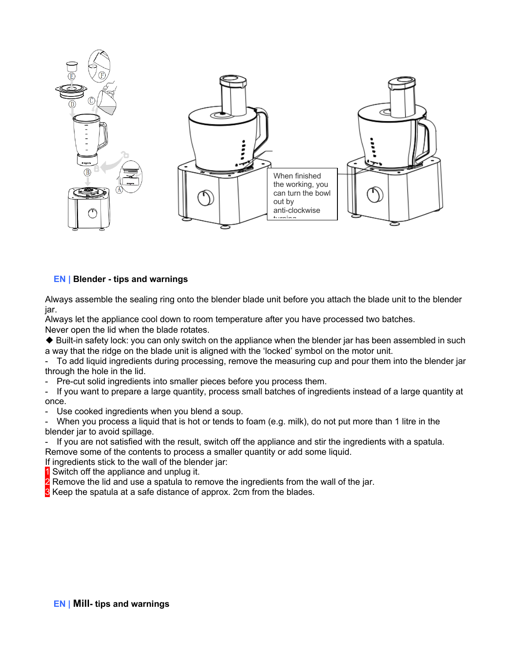

#### **EN | Blender - tips and warnings**

Always assemble the sealing ring onto the blender blade unit before you attach the blade unit to the blender jar.

Always let the appliance cool down to room temperature after you have processed two batches.

Never open the lid when the blade rotates.

◆ Built-in safety lock: you can only switch on the appliance when the blender jar has been assembled in such a way that the ridge on the blade unit is aligned with the 'locked' symbol on the motor unit.

To add liquid ingredients during processing, remove the measuring cup and pour them into the blender jar through the hole in the lid.

Pre-cut solid ingredients into smaller pieces before you process them.

If you want to prepare a large quantity, process small batches of ingredients instead of a large quantity at once.

- Use cooked ingredients when you blend a soup.

When you process a liquid that is hot or tends to foam (e.g. milk), do not put more than 1 litre in the blender jar to avoid spillage.

- If you are not satisfied with the result, switch off the appliance and stir the ingredients with a spatula. Remove some of the contents to process a smaller quantity or add some liquid.

If ingredients stick to the wall of the blender jar:

1 Switch off the appliance and unplug it.

**2** Remove the lid and use a spatula to remove the ingredients from the wall of the jar.

**3** Keep the spatula at a safe distance of approx. 2cm from the blades.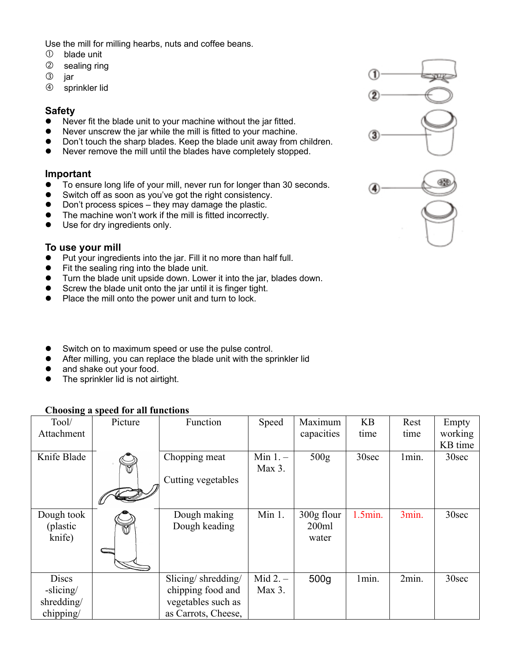Use the mill for milling hearbs, nuts and coffee beans.

- blade unit
- sealing ring
- 3 jar
- sprinkler lid

### **Safety**

- Never fit the blade unit to your machine without the jar fitted.
- Never unscrew the jar while the mill is fitted to your machine.
- Don't touch the sharp blades. Keep the blade unit away from children.
- l Never remove the mill until the blades have completely stopped.

## **Important**

- To ensure long life of your mill, never run for longer than 30 seconds.
- Switch off as soon as you've got the right consistency.
- Don't process spices they may damage the plastic.
- The machine won't work if the mill is fitted incorrectly.
- Use for dry ingredients only.

## **To use your mill**

- $\bullet$  Put your ingredients into the jar. Fill it no more than half full.
- $\bullet$  Fit the sealing ring into the blade unit.
- **Turn the blade unit upside down. Lower it into the jar, blades down.**
- Screw the blade unit onto the jar until it is finger tight.
- Place the mill onto the power unit and turn to lock.
- **•** Switch on to maximum speed or use the pulse control.
- After milling, you can replace the blade unit with the sprinkler lid
- and shake out your food.
- $\bullet$  The sprinkler lid is not airtight.

## **Choosing a speed for all functions**

| -<br>Tool/                                           | Picture     | Function                                                                             | Speed                | Maximum                      | <b>KB</b>  | Rest  | Empty             |
|------------------------------------------------------|-------------|--------------------------------------------------------------------------------------|----------------------|------------------------------|------------|-------|-------------------|
| Attachment                                           |             |                                                                                      |                      | capacities                   | time       | time  | working           |
|                                                      |             |                                                                                      |                      |                              |            |       | KB time           |
| Knife Blade                                          |             | Chopping meat<br>Cutting vegetables                                                  | Min $1.$ –<br>Max 3. | 500 <sub>g</sub>             | 30sec      | 1min. | 30sec             |
| Dough took<br>(plastic)<br>knife)                    | $\boxtimes$ | Dough making<br>Dough keading                                                        | Min 1.               | 300g flour<br>200ml<br>water | $1.5$ min. | 3min. | 30sec             |
| <b>Discs</b><br>-slicing/<br>shredding/<br>chipping/ |             | Slicing/shredding/<br>chipping food and<br>vegetables such as<br>as Carrots, Cheese, | Mid $2. -$<br>Max 3. | 500 <sub>g</sub>             | 1min.      | 2min. | 30 <sub>sec</sub> |

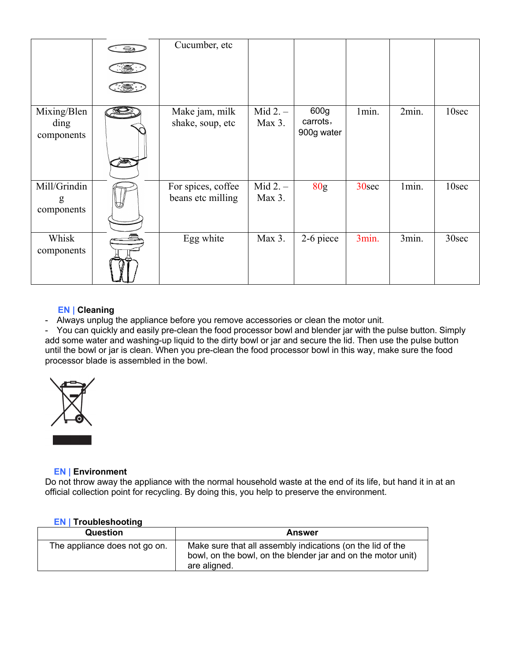|                                   | $\subseteq$ $\ominus$ | Cucumber, etc                           |                      |                                |       |       |       |
|-----------------------------------|-----------------------|-----------------------------------------|----------------------|--------------------------------|-------|-------|-------|
| Mixing/Blen<br>ding<br>components |                       | Make jam, milk<br>shake, soup, etc      | $Mid 2. -$<br>Max 3. | 600g<br>carrots,<br>900g water | 1min. | 2min. | 10sec |
| Mill/Grindin<br>g<br>components   |                       | For spices, coffee<br>beans etc milling | $Mid 2. -$<br>Max 3. | 80 <sub>g</sub>                | 30sec | 1min. | 10sec |
| Whisk<br>components               |                       | Egg white                               | Max 3.               | 2-6 piece                      | 3min. | 3min. | 30sec |

#### **EN | Cleaning**

- Always unplug the appliance before you remove accessories or clean the motor unit.

- You can quickly and easily pre-clean the food processor bowl and blender jar with the pulse button. Simply add some water and washing-up liquid to the dirty bowl or jar and secure the lid. Then use the pulse button until the bowl or jar is clean. When you pre-clean the food processor bowl in this way, make sure the food processor blade is assembled in the bowl.



#### **EN | Environment**

Do not throw away the appliance with the normal household waste at the end of its life, but hand it in at an official collection point for recycling. By doing this, you help to preserve the environment.

#### **EN | Troubleshooting**

| _____                         |                                                                                                                                            |
|-------------------------------|--------------------------------------------------------------------------------------------------------------------------------------------|
| <b>Question</b>               | Answer                                                                                                                                     |
| The appliance does not go on. | Make sure that all assembly indications (on the lid of the<br>bowl, on the bowl, on the blender jar and on the motor unit)<br>are aligned. |